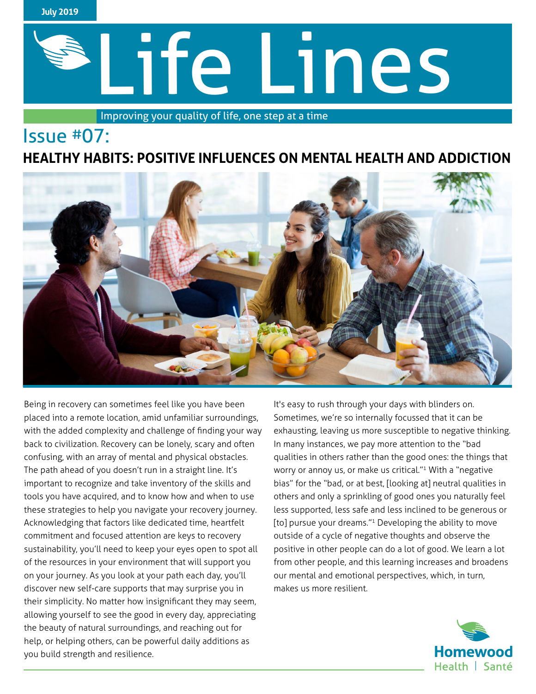

Improving your quality of life, one step at a time

# Issue #07:

## **HEALTHY HABITS: POSITIVE INFLUENCES ON MENTAL HEALTH AND ADDICTION**



Being in recovery can sometimes feel like you have been placed into a remote location, amid unfamiliar surroundings, with the added complexity and challenge of finding your way back to civilization. Recovery can be lonely, scary and often confusing, with an array of mental and physical obstacles. The path ahead of you doesn't run in a straight line. It's important to recognize and take inventory of the skills and tools you have acquired, and to know how and when to use these strategies to help you navigate your recovery journey. Acknowledging that factors like dedicated time, heartfelt commitment and focused attention are keys to recovery sustainability, you'll need to keep your eyes open to spot all of the resources in your environment that will support you on your journey. As you look at your path each day, you'll discover new self-care supports that may surprise you in their simplicity. No matter how insignificant they may seem, allowing yourself to see the good in every day, appreciating the beauty of natural surroundings, and reaching out for help, or helping others, can be powerful daily additions as you build strength and resilience.

It's easy to rush through your days with blinders on. Sometimes, we're so internally focussed that it can be exhausting, leaving us more susceptible to negative thinking. In many instances, we pay more attention to the "bad qualities in others rather than the good ones: the things that worry or annoy us, or make us critical."1 With a "negative bias" for the "bad, or at best, [looking at] neutral qualities in others and only a sprinkling of good ones you naturally feel less supported, less safe and less inclined to be generous or [to] pursue your dreams."<sup>1</sup> Developing the ability to move outside of a cycle of negative thoughts and observe the positive in other people can do a lot of good. We learn a lot from other people, and this learning increases and broadens our mental and emotional perspectives, which, in turn, makes us more resilient.

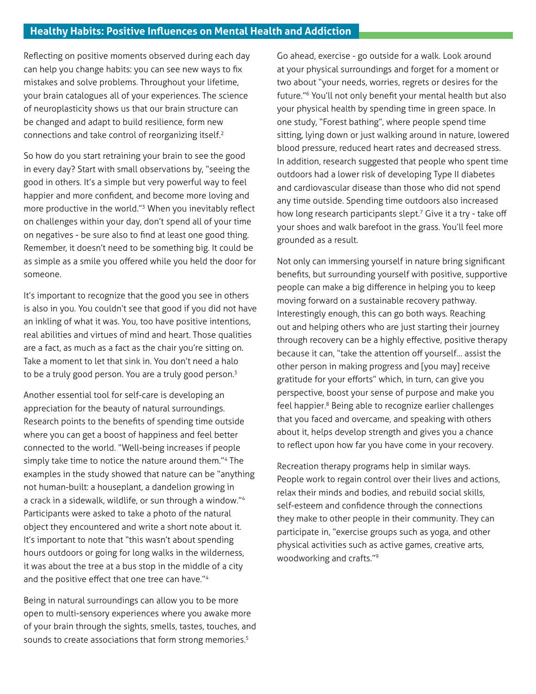Reflecting on positive moments observed during each day can help you change habits: you can see new ways to fix mistakes and solve problems. Throughout your lifetime, your brain catalogues all of your experiences. The science of neuroplasticity shows us that our brain structure can be changed and adapt to build resilience, form new connections and take control of reorganizing itself.<sup>2</sup>

So how do you start retraining your brain to see the good in every day? Start with small observations by, "seeing the good in others. It's a simple but very powerful way to feel happier and more confident, and become more loving and more productive in the world."<sup>3</sup> When you inevitably reflect on challenges within your day, don't spend all of your time on negatives - be sure also to find at least one good thing. Remember, it doesn't need to be something big. It could be as simple as a smile you offered while you held the door for someone.

It's important to recognize that the good you see in others is also in you. You couldn't see that good if you did not have an inkling of what it was. You, too have positive intentions, real abilities and virtues of mind and heart. Those qualities are a fact, as much as a fact as the chair you're sitting on. Take a moment to let that sink in. You don't need a halo to be a truly good person. You are a truly good person.<sup>3</sup>

Another essential tool for self-care is developing an appreciation for the beauty of natural surroundings. Research points to the benefits of spending time outside where you can get a boost of happiness and feel better connected to the world. "Well-being increases if people simply take time to notice the nature around them."<sup>4</sup> The examples in the study showed that nature can be "anything not human-built: a houseplant, a dandelion growing in a crack in a sidewalk, wildlife, or sun through a window."<sup>4</sup> Participants were asked to take a photo of the natural object they encountered and write a short note about it. It's important to note that "this wasn't about spending hours outdoors or going for long walks in the wilderness, it was about the tree at a bus stop in the middle of a city and the positive effect that one tree can have."4

Being in natural surroundings can allow you to be more open to multi-sensory experiences where you awake more of your brain through the sights, smells, tastes, touches, and sounds to create associations that form strong memories.<sup>5</sup>

Go ahead, exercise - go outside for a walk. Look around at your physical surroundings and forget for a moment or two about "your needs, worries, regrets or desires for the future."<sup>6</sup> You'll not only benefit your mental health but also your physical health by spending time in green space. In one study, "Forest bathing", where people spend time sitting, lying down or just walking around in nature, lowered blood pressure, reduced heart rates and decreased stress. In addition, research suggested that people who spent time outdoors had a lower risk of developing Type II diabetes and cardiovascular disease than those who did not spend any time outside. Spending time outdoors also increased how long research participants slept.<sup>7</sup> Give it a try - take off your shoes and walk barefoot in the grass. You'll feel more grounded as a result.

Not only can immersing yourself in nature bring significant benefits, but surrounding yourself with positive, supportive people can make a big difference in helping you to keep moving forward on a sustainable recovery pathway. Interestingly enough, this can go both ways. Reaching out and helping others who are just starting their journey through recovery can be a highly effective, positive therapy because it can, "take the attention off yourself… assist the other person in making progress and [you may] receive gratitude for your efforts" which, in turn, can give you perspective, boost your sense of purpose and make you feel happier.<sup>8</sup> Being able to recognize earlier challenges that you faced and overcame, and speaking with others about it, helps develop strength and gives you a chance to reflect upon how far you have come in your recovery.

Recreation therapy programs help in similar ways. People work to regain control over their lives and actions, relax their minds and bodies, and rebuild social skills, self-esteem and confidence through the connections they make to other people in their community. They can participate in, "exercise groups such as yoga, and other physical activities such as active games, creative arts, woodworking and crafts."<sup>9</sup>